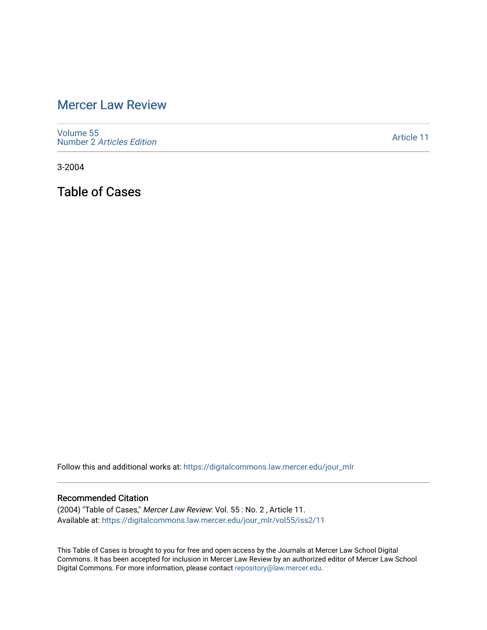## [Mercer Law Review](https://digitalcommons.law.mercer.edu/jour_mlr)

[Volume 55](https://digitalcommons.law.mercer.edu/jour_mlr/vol55) Number 2 [Articles Edition](https://digitalcommons.law.mercer.edu/jour_mlr/vol55/iss2) 

[Article 11](https://digitalcommons.law.mercer.edu/jour_mlr/vol55/iss2/11) 

3-2004

Table of Cases

Follow this and additional works at: [https://digitalcommons.law.mercer.edu/jour\\_mlr](https://digitalcommons.law.mercer.edu/jour_mlr?utm_source=digitalcommons.law.mercer.edu%2Fjour_mlr%2Fvol55%2Fiss2%2F11&utm_medium=PDF&utm_campaign=PDFCoverPages)

## Recommended Citation

(2004) "Table of Cases," Mercer Law Review: Vol. 55 : No. 2 , Article 11. Available at: [https://digitalcommons.law.mercer.edu/jour\\_mlr/vol55/iss2/11](https://digitalcommons.law.mercer.edu/jour_mlr/vol55/iss2/11?utm_source=digitalcommons.law.mercer.edu%2Fjour_mlr%2Fvol55%2Fiss2%2F11&utm_medium=PDF&utm_campaign=PDFCoverPages) 

This Table of Cases is brought to you for free and open access by the Journals at Mercer Law School Digital Commons. It has been accepted for inclusion in Mercer Law Review by an authorized editor of Mercer Law School Digital Commons. For more information, please contact [repository@law.mercer.edu](mailto:repository@law.mercer.edu).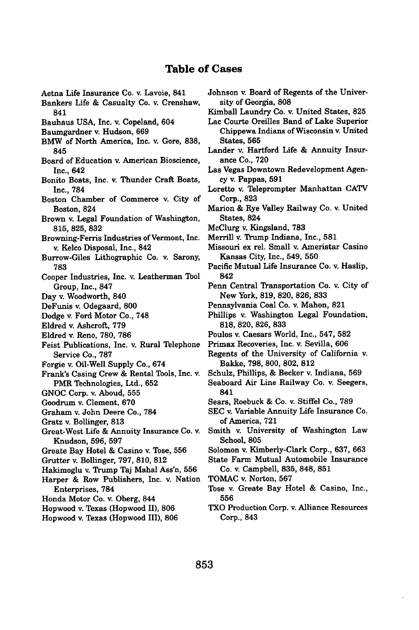## **Table of Cases**

- Aetna Life Insurance Co. v. Lavoie, 841
- Bankers Life & Casualty Co. v. Crenshaw, 841
- Bauhaus **USA,** Inc. v. Copeland, 604
- Baumgardner v. Hudson, **669**
- BMW of North America, Inc. v. Gore, **838,** 845
- Board of Education v. American Bioscience, Inc., 642
- Bonito Boats, Inc. v. Thunder Craft Boats, Inc., **784**
- Boston Chamber of Commerce v. City of Boston, 824
- Brown v. Legal Foundation of Washington, **815, 825, 832**
- Browning-Ferris Industries of Vermont, Inc. v. Kelco Disposal, Inc., 842
- Burrow-Giles Lithographic Co. v. Sarony, **783**
- Cooper Industries, Inc. v. Leatherman Tool Group, Inc., **847**
- Day v. Woodworth, 840
- DeFunis v. Odegaard, **800**
- Dodge v. Ford Motor Co., **748**
- Eldred v. Ashcroft, **779**
- Eldred v. Reno, **780, 786**
- Feist Publications, Inc. v. Rural Telephone Service Co., **787**
- Forgie v. Oil-Well Supply Co., 674
- Frank's Casing Crew **&** Rental Tools, Inc. v. PMR Technologies, Ltd., **652**
- **GNOC** Corp. v. Aboud, **555**
- **Goodrum** v. Clement, **670**
- Graham v. John Deere Co., **784**
- Gratz v. Bollinger, **813**
- Great-West Life **&** Annuity Insurance Co. v. Knudson, **596, 597**
- Greate Bay Hotel **&** Casino v. Tose, **556**
- Grutter v. Bollinger, **797, 810, 812**
- Hakimoglu v. Trump Taj Mahal Ass'n, **556**
- Harper **&** Row Publishers, Inc. v. Nation Enterprises, **784**
- Honda Motor Co. v. Oberg, 844
- Hopwood v. Texas (Hopwood 11), **806**
- Hopwood v. Texas (Hopwood **III), 806**
- Johnson v. Board of Regents of the University of Georgia, **808**
- Kimball Laundry Co. v. United States, **825**
- Lac Courts Oreilles Band of Lake Superior Chippewa Indians of Wisconsin v. United States, **565**
- Lander v. Hartford Life & Annuity Insurance Co., **720**
- Las Vegas Downtown Redevelopment Agency v. Pappas, **591**
- Loretto v. Teleprompter Manhattan CATV Corp., **823**
- Marion & Rye Valley Railway Co. v. United States, 824
- McClurg v. Kingsland, **783**
- Merrill v. Trump Indiana, Inc., **581**
- Missouri ex rel. Small v. Ameristar Casino Kansas City, Inc., 549, **550**
- Pacific Mutual Life Insurance Co. v. Haslip, 842
- Penn Central Transportation Co. v. City of New York, **819, 820, 826, 833**
- Pennsylvania Coal Co. v. Mahon, **821**
- Phillips v. Washington Legal Foundation, **818, 820, 826, 833**
- Poulos v. Caesars World, Inc., 547, **582**
- Primax Recoveries, Inc. v. Sevilla, **606**
- Regents of the University of California v. Bakke, **798, 800, 802, 812**
- Schulz, Phillips, **&** Becker v. Indiana, **569**
- Seaboard Air Line Railway Co. v. Seegers, 841
- Sears, Roebuck & Co. v. Stiffel Co., **789**
- **SEC** v. Variable Annuity Life Insurance Co. of America, **721**
- Smith v. University of Washington Law School, **805**
- Solomon v. Kimberly-Clark Corp., **637, 663**
- State Farm Mutual Automobile Insurance **Co. v.** Campbell, **835, 848, 851**
- **TOMAC** v. Norton, **567**
- Tose v. Greate Bay Hotel **&** Casino, Inc., **556**
- TXO Production Corp. v. Alliance Resources Corp., 843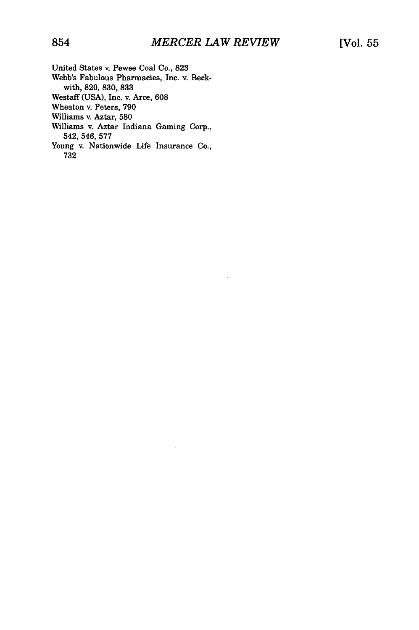l,

- United States v. Pewee Coal Co., 823
- Webb's Fabulous Pharmacies, Inc. v. Beckwith, 820, 830, 833
- Westaff (USA), Inc. v. Arce, 608
- Wheaton v. Peters, 790
- Williams v. Aztar, 580
- Williams v. Aztar Indiana Gaming Corp., 542, 546, 577
- Young v. Nationwide Life Insurance Co., 732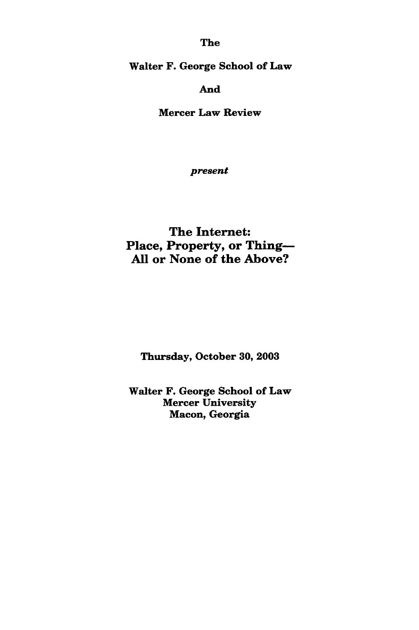The

Walter F. George School of Law

And

Mercer Law Review

*present*

The Internet: Place, Property, or Thing-**All** or None of the Above?

Thursday, October **30, 2003**

Walter F. George School of Law Mercer University Macon, Georgia